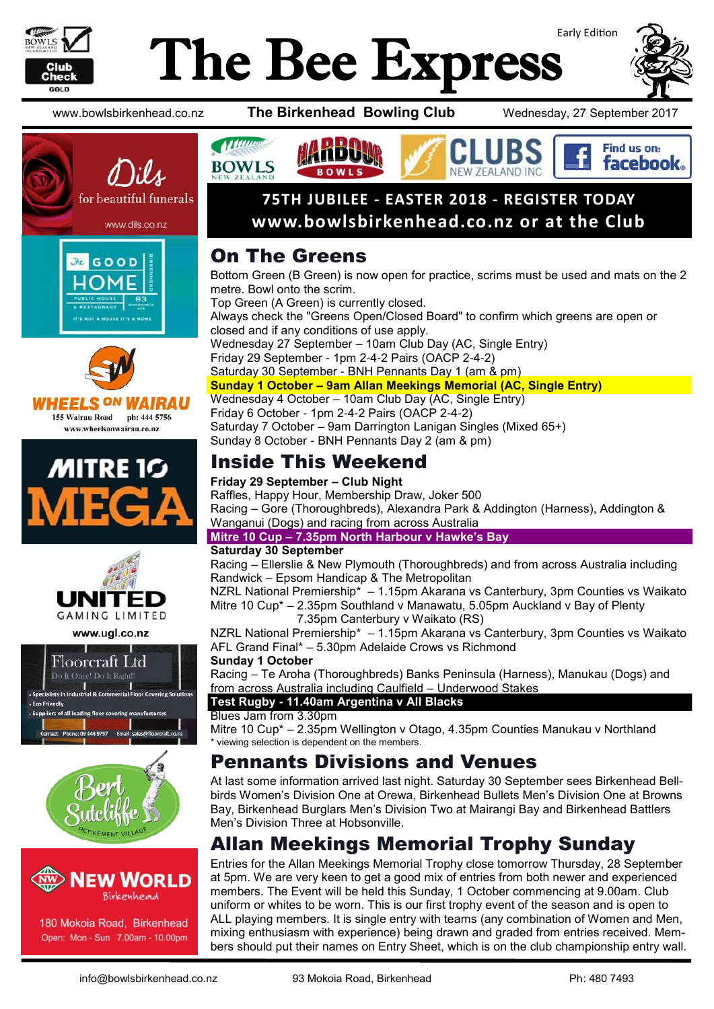

# Early Edition The Bee Express











www.ugl.co.nz







180 Mokoia Road, Birkenhead Open: Mon - Sun 7.00am - 10.00pm

www.bowlsbirkenhead.co.nz **The Birkenhead Bowling Club** Wednesday, 27 September 2017



### **75TH JUBILEE - EASTER 2018 - REGISTER TODAY www.bowlsbirkenhead.co.nz or at the Club**

### On The Greens

Bottom Green (B Green) is now open for practice, scrims must be used and mats on the 2 metre. Bowl onto the scrim. Top Green (A Green) is currently closed. Always check the "Greens Open/Closed Board" to confirm which greens are open or

closed and if any conditions of use apply. Wednesday 27 September – 10am Club Day (AC, Single Entry) Friday 29 September - 1pm 2-4-2 Pairs (OACP 2-4-2) Saturday 30 September - BNH Pennants Day 1 (am & pm) **Sunday 1 October – 9am Allan Meekings Memorial (AC, Single Entry)** Wednesday 4 October – 10am Club Day (AC, Single Entry)

Friday 6 October - 1pm 2-4-2 Pairs (OACP 2-4-2) Saturday 7 October – 9am Darrington Lanigan Singles (Mixed 65+) Sunday 8 October - BNH Pennants Day 2 (am & pm)

## Inside This Weekend

### **Friday 29 September – Club Night**

Raffles, Happy Hour, Membership Draw, Joker 500 Racing – Gore (Thoroughbreds), Alexandra Park & Addington (Harness), Addington & Wanganui (Dogs) and racing from across Australia

**Mitre 10 Cup – 7.35pm North Harbour v Hawke's Bay** 

### **Saturday 30 September**

Racing – Ellerslie & New Plymouth (Thoroughbreds) and from across Australia including Randwick – Epsom Handicap & The Metropolitan

NZRL National Premiership\* – 1.15pm Akarana vs Canterbury, 3pm Counties vs Waikato Mitre 10 Cup\* – 2.35pm Southland v Manawatu, 5.05pm Auckland v Bay of Plenty 7.35pm Canterbury v Waikato (RS)

NZRL National Premiership\* – 1.15pm Akarana vs Canterbury, 3pm Counties vs Waikato AFL Grand Final\* – 5.30pm Adelaide Crows vs Richmond

### **Sunday 1 October**

Racing – Te Aroha (Thoroughbreds) Banks Peninsula (Harness), Manukau (Dogs) and from across Australia including Caulfield – Underwood Stakes

### **Test Rugby - 11.40am Argentina v All Blacks**

### Blues Jam from 3.30pm

Mitre 10 Cup\* – 2.35pm Wellington v Otago, 4.35pm Counties Manukau v Northland \* viewing selection is dependent on the members.

### Pennants Divisions and Venues

At last some information arrived last night. Saturday 30 September sees Birkenhead Bellbirds Women's Division One at Orewa, Birkenhead Bullets Men's Division One at Browns Bay, Birkenhead Burglars Men's Division Two at Mairangi Bay and Birkenhead Battlers Men's Division Three at Hobsonville.

### Allan Meekings Memorial Trophy Sunday

Entries for the Allan Meekings Memorial Trophy close tomorrow Thursday, 28 September at 5pm. We are very keen to get a good mix of entries from both newer and experienced members. The Event will be held this Sunday, 1 October commencing at 9.00am. Club uniform or whites to be worn. This is our first trophy event of the season and is open to ALL playing members. It is single entry with teams (any combination of Women and Men, mixing enthusiasm with experience) being drawn and graded from entries received. Members should put their names on Entry Sheet, which is on the club championship entry wall.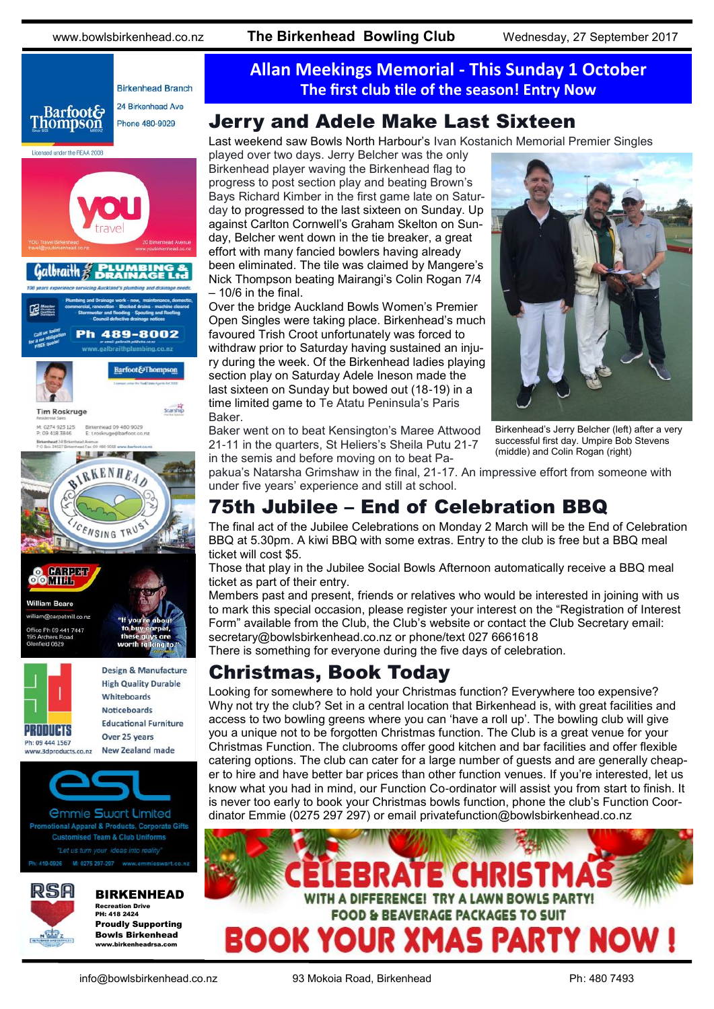

**New Zealand made** www.3dproducts.co.nz



*<u>Ommie Swart Limited</u>* onal Apparel & Products, Corporate Gifts **Customised Team & Club Uniforms** 



### BIRKENHEAD

Recreation Drive PH: 418 2424 Proudly Supporting Bowls Birkenhead www.birkenheadrsa.com

### **Allan Meekings Memorial - This Sunday 1 October The first club tile of the season! Entry Now**

### Jerry and Adele Make Last Sixteen

Last weekend saw Bowls North Harbour's Ivan Kostanich Memorial Premier Singles

played over two days. Jerry Belcher was the only Birkenhead player waving the Birkenhead flag to progress to post section play and beating Brown's Bays Richard Kimber in the first game late on Saturday to progressed to the last sixteen on Sunday. Up against Carlton Cornwell's Graham Skelton on Sunday, Belcher went down in the tie breaker, a great effort with many fancied bowlers having already been eliminated. The tile was claimed by Mangere's Nick Thompson beating Mairangi's Colin Rogan 7/4 – 10/6 in the final.

Over the bridge Auckland Bowls Women's Premier Open Singles were taking place. Birkenhead's much favoured Trish Croot unfortunately was forced to withdraw prior to Saturday having sustained an injury during the week. Of the Birkenhead ladies playing section play on Saturday Adele Ineson made the last sixteen on Sunday but bowed out (18-19) in a time limited game to Te Atatu Peninsula's Paris Baker.

Baker went on to beat Kensington's Maree Attwood 21-11 in the quarters, St Heliers's Sheila Putu 21-7 in the semis and before moving on to beat Pa-



Birkenhead's Jerry Belcher (left) after a very successful first day. Umpire Bob Stevens (middle) and Colin Rogan (right)

pakua's Natarsha Grimshaw in the final, 21-17. An impressive effort from someone with under five years' experience and still at school.

### 75th Jubilee – End of Celebration BBQ

The final act of the Jubilee Celebrations on Monday 2 March will be the End of Celebration BBQ at 5.30pm. A kiwi BBQ with some extras. Entry to the club is free but a BBQ meal ticket will cost \$5.

Those that play in the Jubilee Social Bowls Afternoon automatically receive a BBQ meal ticket as part of their entry.

Members past and present, friends or relatives who would be interested in joining with us to mark this special occasion, please register your interest on the "Registration of Interest Form" available from the Club, the Club's website or contact the Club Secretary email: secretary@bowlsbirkenhead.co.nz or phone/text 027 6661618

### There is something for everyone during the five days of celebration.

### Christmas, Book Today

Looking for somewhere to hold your Christmas function? Everywhere too expensive? Why not try the club? Set in a central location that Birkenhead is, with great facilities and access to two bowling greens where you can 'have a roll up'. The bowling club will give you a unique not to be forgotten Christmas function. The Club is a great venue for your Christmas Function. The clubrooms offer good kitchen and bar facilities and offer flexible catering options. The club can cater for a large number of guests and are generally cheaper to hire and have better bar prices than other function venues. If you're interested, let us know what you had in mind, our Function Co-ordinator will assist you from start to finish. It is never too early to book your Christmas bowls function, phone the club's Function Coordinator Emmie (0275 297 297) or email [privatefunction@bowlsbirkenhead.co.nz](mailto:privatefunction@bowlsbirkenhead.co.nz)

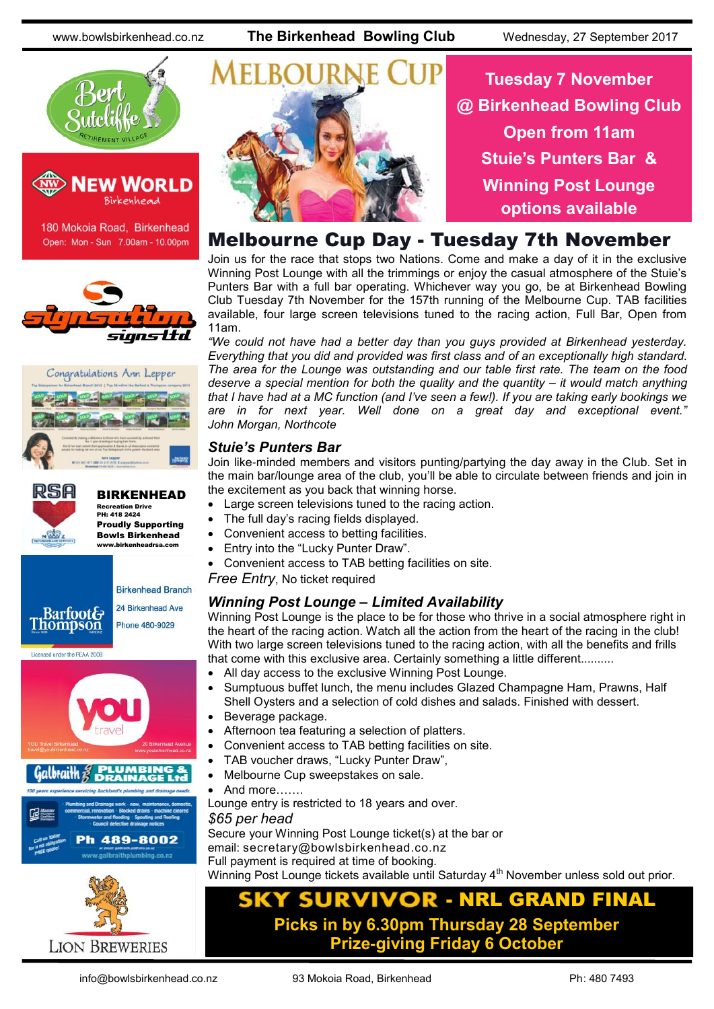



180 Mokoia Road, Birkenhead Open: Mon - Sun 7.00am - 10.00pm







### BIRKENHEAD Recreation Drive

PH: 418 2424 Proudly Supporting Bowls Birkenhead www.birkenheadrsa.com



**LION BREWERIES** 



**Tuesday 7 November @ Birkenhead Bowling Club Open from 11am Stuie's Punters Bar & Winning Post Lounge options available**

### Melbourne Cup Day - Tuesday 7th November

Join us for the race that stops two Nations. Come and make a day of it in the exclusive Winning Post Lounge with all the trimmings or enjoy the casual atmosphere of the Stuie's Punters Bar with a full bar operating. Whichever way you go, be at Birkenhead Bowling Club Tuesday 7th November for the 157th running of the Melbourne Cup. TAB facilities available, four large screen televisions tuned to the racing action, Full Bar, Open from 11am.

*"We could not have had a better day than you guys provided at Birkenhead yesterday. Everything that you did and provided was first class and of an exceptionally high standard. The area for the Lounge was outstanding and our table first rate. The team on the food deserve a special mention for both the quality and the quantity – it would match anything that I have had at a MC function (and I've seen a few!). If you are taking early bookings we are in for next year. Well done on a great day and exceptional event." John Morgan, Northcote*

### *Stuie's Punters Bar*

Join like-minded members and visitors punting/partying the day away in the Club. Set in the main bar/lounge area of the club, you'll be able to circulate between friends and join in the excitement as you back that winning horse.

- Large screen televisions tuned to the racing action.
- The full day's racing fields displayed.
- Convenient access to betting facilities.
- Entry into the "Lucky Punter Draw".
- Convenient access to TAB betting facilities on site.

*Free Entry*, No ticket required

### *Winning Post Lounge – Limited Availability*

Winning Post Lounge is the place to be for those who thrive in a social atmosphere right in the heart of the racing action. Watch all the action from the heart of the racing in the club! With two large screen televisions tuned to the racing action, with all the benefits and frills that come with this exclusive area. Certainly something a little different..........

- All day access to the exclusive Winning Post Lounge.
- Sumptuous buffet lunch, the menu includes Glazed Champagne Ham, Prawns, Half Shell Oysters and a selection of cold dishes and salads. Finished with dessert.
- Beverage package.
- Afternoon tea featuring a selection of platters.
- Convenient access to TAB betting facilities on site.
- TAB voucher draws, "Lucky Punter Draw",
- Melbourne Cup sweepstakes on sale.
- And more…….

Lounge entry is restricted to 18 years and over.

*\$65 per head*

Secure your Winning Post Lounge ticket(s) at the bar or email: [secretary@bowlsbirkenhead.co.nz](mailto:secretary@bowlsbirkenhead.co.nz) Full payment is required at time of booking. Winning Post Lounge tickets available until Saturday 4<sup>th</sup> November unless sold out prior.

### **NRL GRAND FINAL** О **Picks in by 6.30pm Thursday 28 September Prize-giving Friday 6 October**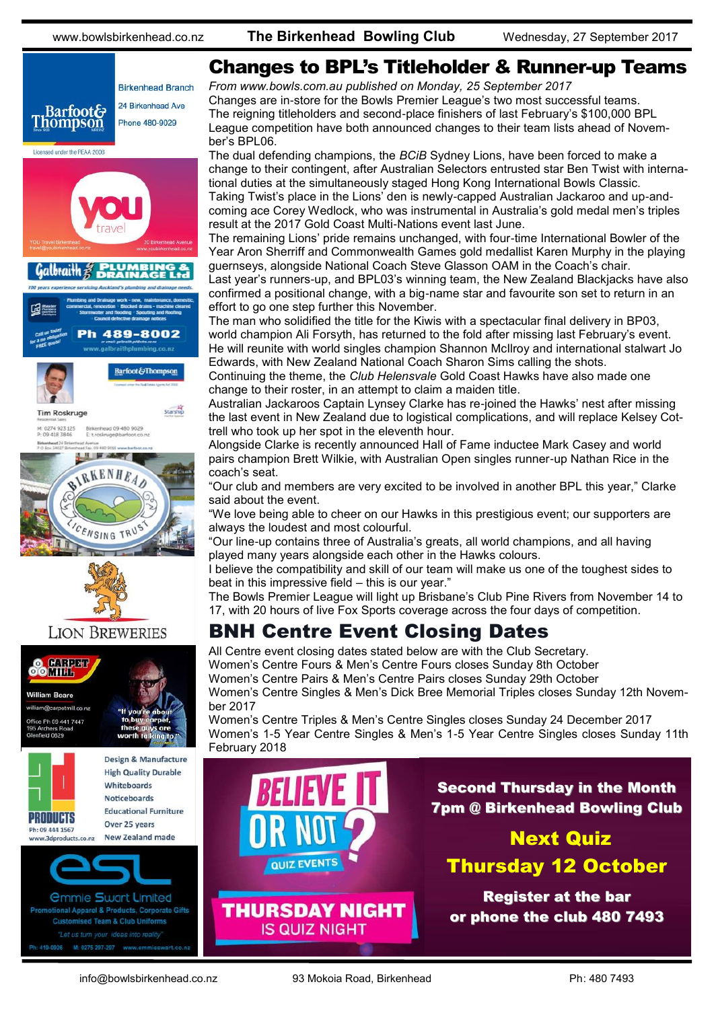







### **LION BREWERIES**



### Changes to BPL's Titleholder & Runner-up Teams

*From [www.bowls.com.au](http://www.bowls.com.au) published on Monday, 25 September 2017* Changes are in-store for the Bowls Premier League's two most successful teams. The reigning titleholders and second-place finishers of last February's \$100,000 BPL League competition have both announced changes to their team lists ahead of November's BPL06.

The dual defending champions, the *BCiB* Sydney Lions, have been forced to make a change to their contingent, after Australian Selectors entrusted star Ben Twist with international duties at the simultaneously staged Hong Kong International Bowls Classic. Taking Twist's place in the Lions' den is newly-capped Australian Jackaroo and up-and-

coming ace Corey Wedlock, who was instrumental in Australia's gold medal men's triples result at the 2017 Gold Coast Multi-Nations event last June.

The remaining Lions' pride remains unchanged, with four-time International Bowler of the Year Aron Sherriff and Commonwealth Games gold medallist Karen Murphy in the playing guernseys, alongside National Coach Steve Glasson OAM in the Coach's chair.

Last year's runners-up, and BPL03's winning team, the New Zealand Blackjacks have also confirmed a positional change, with a big-name star and favourite son set to return in an effort to go one step further this November.

The man who solidified the title for the Kiwis with a spectacular final delivery in BP03, world champion Ali Forsyth, has returned to the fold after missing last February's event. He will reunite with world singles champion Shannon McIlroy and international stalwart Jo Edwards, with New Zealand National Coach Sharon Sims calling the shots.

Continuing the theme, the *Club Helensvale* Gold Coast Hawks have also made one change to their roster, in an attempt to claim a maiden title.

Australian Jackaroos Captain Lynsey Clarke has re-joined the Hawks' nest after missing the last event in New Zealand due to logistical complications, and will replace Kelsey Cottrell who took up her spot in the eleventh hour.

Alongside Clarke is recently announced Hall of Fame inductee Mark Casey and world pairs champion Brett Wilkie, with Australian Open singles runner-up Nathan Rice in the coach's seat.

"Our club and members are very excited to be involved in another BPL this year," Clarke said about the event.

"We love being able to cheer on our Hawks in this prestigious event; our supporters are always the loudest and most colourful.

"Our line-up contains three of Australia's greats, all world champions, and all having played many years alongside each other in the Hawks colours.

I believe the compatibility and skill of our team will make us one of the toughest sides to beat in this impressive field – this is our year."

The Bowls Premier League will light up Brisbane's Club Pine Rivers from November 14 to 17, with 20 hours of live Fox Sports coverage across the four days of competition.

### BNH Centre Event Closing Dates

All Centre event closing dates stated below are with the Club Secretary. Women's Centre Fours & Men's Centre Fours closes Sunday 8th October Women's Centre Pairs & Men's Centre Pairs closes Sunday 29th October Women's Centre Singles & Men's Dick Bree Memorial Triples closes Sunday 12th November 2017

Women's Centre Triples & Men's Centre Singles closes Sunday 24 December 2017 Women's 1-5 Year Centre Singles & Men's 1-5 Year Centre Singles closes Sunday 11th February 2018

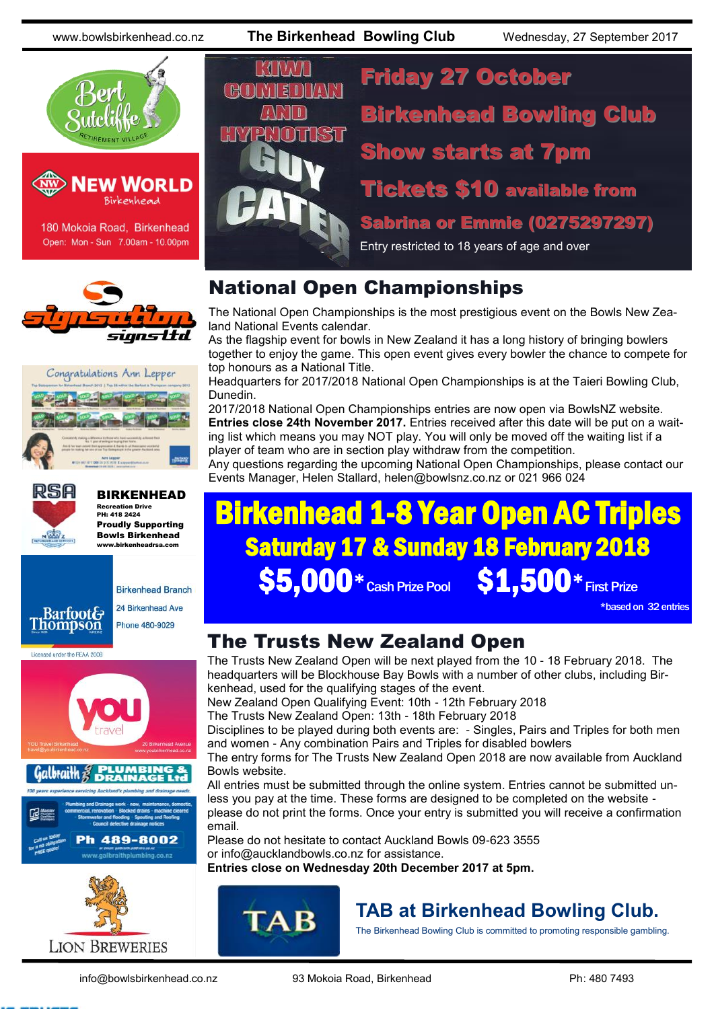



180 Mokoia Road, Birkenhead Open: Mon - Sun 7.00am - 10.00pm







BIRKENHEAD Recreation Drive PH: 418 2424 Proudly Supporting Bowls Birkenhead www.birkenheadrsa.com



Licensed under the REAA 2008



# $H<sub>1</sub>$

M.

Friday 27 October Birkenhead Bowling Club Show starts at 7pm Tickets \$10 available from

Sabrina or Emmie (0275297297)

Entry restricted to 18 years of age and over

### National Open Championships

The National Open Championships is the most prestigious event on the Bowls New Zealand National Events calendar.

As the flagship event for bowls in New Zealand it has a long history of bringing bowlers together to enjoy the game. This open event gives every bowler the chance to compete for top honours as a National Title.

Headquarters for 2017/2018 National Open Championships is at the Taieri Bowling Club, Dunedin.

2017/2018 National Open Championships entries are now open via BowlsNZ website. **Entries close 24th November 2017.** Entries received after this date will be put on a waiting list which means you may NOT play. You will only be moved off the waiting list if a player of team who are in section play withdraw from the competition.

Any questions regarding the upcoming National Open Championships, please contact our Events Manager, Helen Stallard, helen@bowlsnz.co.nz or 021 966 024

# Birkenhead 1-8 Year Open AC Triples Saturday 17 & Sunday 18 February 2018  $\textbf{S5.000*}_{\text{\tiny Cash Prize Pool}} \textbf{S1.500*}_{\text{\tiny First Prize}}$

\*based on 32 entries

### The Trusts New Zealand Open

The Trusts New Zealand Open will be next played from the 10 - 18 February 2018. The headquarters will be Blockhouse Bay Bowls with a number of other clubs, including Birkenhead, used for the qualifying stages of the event.

New Zealand Open Qualifying Event: 10th - 12th February 2018

The Trusts New Zealand Open: 13th - 18th February 2018

Disciplines to be played during both events are: - Singles, Pairs and Triples for both men and women - Any combination Pairs and Triples for disabled bowlers

The entry forms for The Trusts New Zealand Open 2018 are now available from Auckland Bowls website.

All entries must be submitted through the online system. Entries cannot be submitted unless you pay at the time. These forms are designed to be completed on the website please do not print the forms. Once your entry is submitted you will receive a confirmation email.

Please do not hesitate to contact Auckland Bowls 09-623 3555 or [info@aucklandbowls.co.nz](mailto:info@aucklandbowls.co.nz) for assistance[.](mailto:info@aucklandbowls.co.nz) **Entries close on Wednesday 20th December 2017 at 5pm.**



### **TAB at Birkenhead Bowling Club.**

The Birkenhead Bowling Club is committed to promoting responsible gambling.